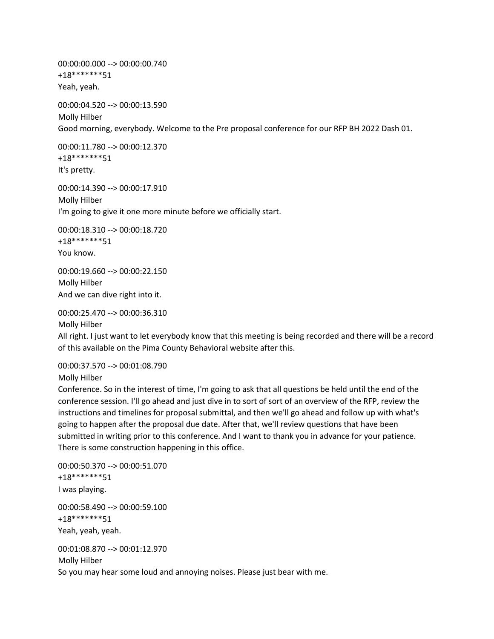00:00:00.000 --> 00:00:00.740 +18\*\*\*\*\*\*\*51 Yeah, yeah.

00:00:04.520 --> 00:00:13.590 Molly Hilber Good morning, everybody. Welcome to the Pre proposal conference for our RFP BH 2022 Dash 01.

00:00:11.780 --> 00:00:12.370 +18\*\*\*\*\*\*\*51 It's pretty.

00:00:14.390 --> 00:00:17.910 Molly Hilber I'm going to give it one more minute before we officially start.

00:00:18.310 --> 00:00:18.720 +18\*\*\*\*\*\*\*51 You know.

00:00:19.660 --> 00:00:22.150 Molly Hilber And we can dive right into it.

00:00:25.470 --> 00:00:36.310 Molly Hilber

All right. I just want to let everybody know that this meeting is being recorded and there will be a record of this available on the Pima County Behavioral website after this.

00:00:37.570 --> 00:01:08.790

Molly Hilber

Conference. So in the interest of time, I'm going to ask that all questions be held until the end of the conference session. I'll go ahead and just dive in to sort of sort of an overview of the RFP, review the instructions and timelines for proposal submittal, and then we'll go ahead and follow up with what's going to happen after the proposal due date. After that, we'll review questions that have been submitted in writing prior to this conference. And I want to thank you in advance for your patience. There is some construction happening in this office.

00:00:50.370 --> 00:00:51.070 +18\*\*\*\*\*\*\*51 I was playing. 00:00:58.490 --> 00:00:59.100

+18\*\*\*\*\*\*\*51 Yeah, yeah, yeah.

00:01:08.870 --> 00:01:12.970 Molly Hilber So you may hear some loud and annoying noises. Please just bear with me.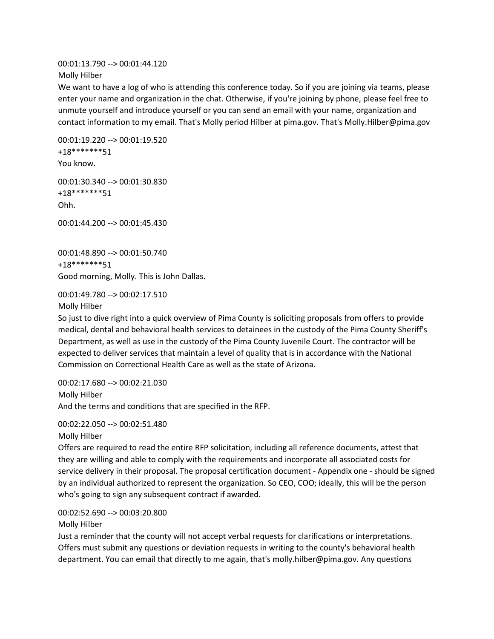00:01:13.790 --> 00:01:44.120 Molly Hilber

We want to have a log of who is attending this conference today. So if you are joining via teams, please enter your name and organization in the chat. Otherwise, if you're joining by phone, please feel free to unmute yourself and introduce yourself or you can send an email with your name, organization and contact information to my email. That's Molly period Hilber at pima.gov. That's Molly.Hilber@pima.gov

00:01:19.220 --> 00:01:19.520 +18\*\*\*\*\*\*\*51 You know.

00:01:30.340 --> 00:01:30.830 +18\*\*\*\*\*\*\*51 Ohh.

00:01:44.200 --> 00:01:45.430

00:01:48.890 --> 00:01:50.740 +18\*\*\*\*\*\*\*51 Good morning, Molly. This is John Dallas.

00:01:49.780 --> 00:02:17.510

Molly Hilber

So just to dive right into a quick overview of Pima County is soliciting proposals from offers to provide medical, dental and behavioral health services to detainees in the custody of the Pima County Sheriff's Department, as well as use in the custody of the Pima County Juvenile Court. The contractor will be expected to deliver services that maintain a level of quality that is in accordance with the National Commission on Correctional Health Care as well as the state of Arizona.

00:02:17.680 --> 00:02:21.030 Molly Hilber And the terms and conditions that are specified in the RFP.

00:02:22.050 --> 00:02:51.480

Molly Hilber

Offers are required to read the entire RFP solicitation, including all reference documents, attest that they are willing and able to comply with the requirements and incorporate all associated costs for service delivery in their proposal. The proposal certification document - Appendix one - should be signed by an individual authorized to represent the organization. So CEO, COO; ideally, this will be the person who's going to sign any subsequent contract if awarded.

00:02:52.690 --> 00:03:20.800

Molly Hilber

Just a reminder that the county will not accept verbal requests for clarifications or interpretations. Offers must submit any questions or deviation requests in writing to the county's behavioral health department. You can email that directly to me again, that's molly.hilber@pima.gov. Any questions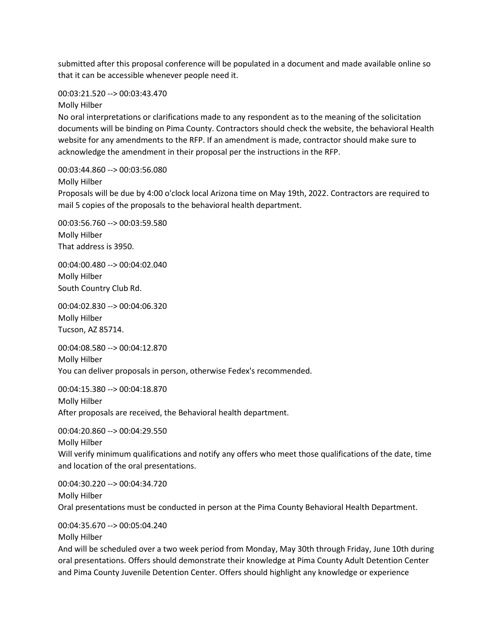submitted after this proposal conference will be populated in a document and made available online so that it can be accessible whenever people need it.

00:03:21.520 --> 00:03:43.470

Molly Hilber

No oral interpretations or clarifications made to any respondent as to the meaning of the solicitation documents will be binding on Pima County. Contractors should check the website, the behavioral Health website for any amendments to the RFP. If an amendment is made, contractor should make sure to acknowledge the amendment in their proposal per the instructions in the RFP.

00:03:44.860 --> 00:03:56.080

Molly Hilber

Proposals will be due by 4:00 o'clock local Arizona time on May 19th, 2022. Contractors are required to mail 5 copies of the proposals to the behavioral health department.

00:03:56.760 --> 00:03:59.580 Molly Hilber That address is 3950.

00:04:00.480 --> 00:04:02.040 Molly Hilber South Country Club Rd.

00:04:02.830 --> 00:04:06.320 Molly Hilber Tucson, AZ 85714.

00:04:08.580 --> 00:04:12.870 Molly Hilber You can deliver proposals in person, otherwise Fedex's recommended.

00:04:15.380 --> 00:04:18.870 Molly Hilber After proposals are received, the Behavioral health department.

00:04:20.860 --> 00:04:29.550 Molly Hilber Will verify minimum qualifications and notify any offers who meet those qualifications of the date, time and location of the oral presentations.

00:04:30.220 --> 00:04:34.720 Molly Hilber Oral presentations must be conducted in person at the Pima County Behavioral Health Department.

00:04:35.670 --> 00:05:04.240

Molly Hilber

And will be scheduled over a two week period from Monday, May 30th through Friday, June 10th during oral presentations. Offers should demonstrate their knowledge at Pima County Adult Detention Center and Pima County Juvenile Detention Center. Offers should highlight any knowledge or experience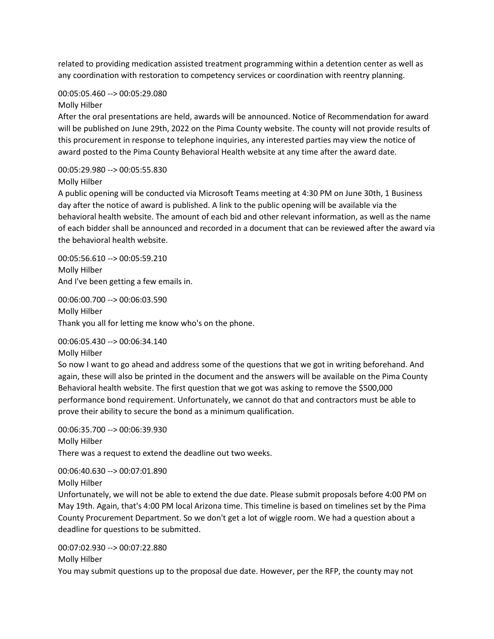related to providing medication assisted treatment programming within a detention center as well as any coordination with restoration to competency services or coordination with reentry planning.

## 00:05:05.460 --> 00:05:29.080

## Molly Hilber

After the oral presentations are held, awards will be announced. Notice of Recommendation for award will be published on June 29th, 2022 on the Pima County website. The county will not provide results of this procurement in response to telephone inquiries, any interested parties may view the notice of award posted to the Pima County Behavioral Health website at any time after the award date.

## 00:05:29.980 --> 00:05:55.830 Molly Hilber

A public opening will be conducted via Microsoft Teams meeting at 4:30 PM on June 30th, 1 Business day after the notice of award is published. A link to the public opening will be available via the behavioral health website. The amount of each bid and other relevant information, as well as the name of each bidder shall be announced and recorded in a document that can be reviewed after the award via the behavioral health website.

00:05:56.610 --> 00:05:59.210 Molly Hilber And I've been getting a few emails in.

00:06:00.700 --> 00:06:03.590 Molly Hilber Thank you all for letting me know who's on the phone.

00:06:05.430 --> 00:06:34.140

## Molly Hilber

So now I want to go ahead and address some of the questions that we got in writing beforehand. And again, these will also be printed in the document and the answers will be available on the Pima County Behavioral health website. The first question that we got was asking to remove the \$500,000 performance bond requirement. Unfortunately, we cannot do that and contractors must be able to prove their ability to secure the bond as a minimum qualification.

00:06:35.700 --> 00:06:39.930 Molly Hilber There was a request to extend the deadline out two weeks.

00:06:40.630 --> 00:07:01.890

Molly Hilber

Unfortunately, we will not be able to extend the due date. Please submit proposals before 4:00 PM on May 19th. Again, that's 4:00 PM local Arizona time. This timeline is based on timelines set by the Pima County Procurement Department. So we don't get a lot of wiggle room. We had a question about a deadline for questions to be submitted.

00:07:02.930 --> 00:07:22.880 Molly Hilber You may submit questions up to the proposal due date. However, per the RFP, the county may not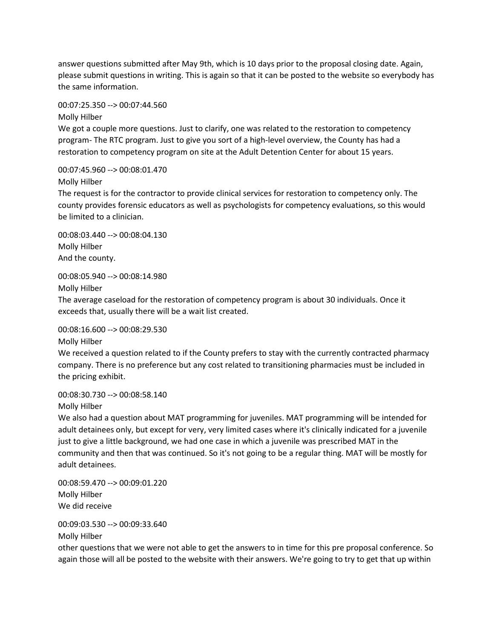answer questions submitted after May 9th, which is 10 days prior to the proposal closing date. Again, please submit questions in writing. This is again so that it can be posted to the website so everybody has the same information.

00:07:25.350 --> 00:07:44.560

Molly Hilber

We got a couple more questions. Just to clarify, one was related to the restoration to competency program- The RTC program. Just to give you sort of a high-level overview, the County has had a restoration to competency program on site at the Adult Detention Center for about 15 years.

00:07:45.960 --> 00:08:01.470 Molly Hilber

The request is for the contractor to provide clinical services for restoration to competency only. The county provides forensic educators as well as psychologists for competency evaluations, so this would be limited to a clinician.

00:08:03.440 --> 00:08:04.130 Molly Hilber And the county.

00:08:05.940 --> 00:08:14.980

Molly Hilber

The average caseload for the restoration of competency program is about 30 individuals. Once it exceeds that, usually there will be a wait list created.

00:08:16.600 --> 00:08:29.530

Molly Hilber

We received a question related to if the County prefers to stay with the currently contracted pharmacy company. There is no preference but any cost related to transitioning pharmacies must be included in the pricing exhibit.

00:08:30.730 --> 00:08:58.140

Molly Hilber

We also had a question about MAT programming for juveniles. MAT programming will be intended for adult detainees only, but except for very, very limited cases where it's clinically indicated for a juvenile just to give a little background, we had one case in which a juvenile was prescribed MAT in the community and then that was continued. So it's not going to be a regular thing. MAT will be mostly for adult detainees.

00:08:59.470 --> 00:09:01.220 Molly Hilber We did receive

00:09:03.530 --> 00:09:33.640

Molly Hilber

other questions that we were not able to get the answers to in time for this pre proposal conference. So again those will all be posted to the website with their answers. We're going to try to get that up within